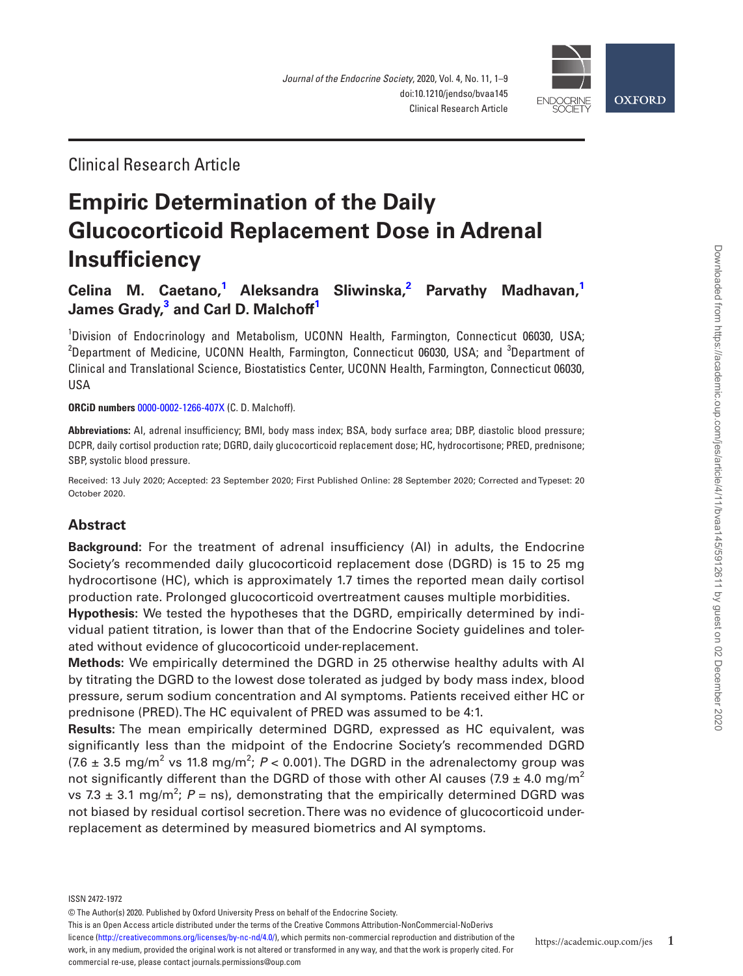

Clinical Research Article

# **Empiric Determination of the Daily Glucocorticoid Replacement Dose in Adrenal Insufficiency**

 $C$ elina M. Caetano,<sup>[1](#page-0-0)</sup> Aleksandra Sliwinska,<sup>[2](#page-0-1)</sup> Parvathy Madhavan,<sup>1</sup> **James Grady, [3](#page-0-2) and [Carl D. Malchoff](http://orcid.org/0000-0002-1266-407X)[1](#page-0-0)**

<span id="page-0-2"></span><span id="page-0-1"></span><span id="page-0-0"></span><sup>1</sup>Division of Endocrinology and Metabolism, UCONN Health, Farmington, Connecticut 06030, USA; <sup>2</sup>Department of Medicine, UCONN Health, Farmington, Connecticut 06030, USA; and <sup>3</sup>Department of Clinical and Translational Science, Biostatistics Center, UCONN Health, Farmington, Connecticut 06030, USA

**ORCiD numbers** [0000-0002-1266-407X](http://orcid.org/0000-0002-1266-407X) (C. D. Malchoff).

**Abbreviations:** AI, adrenal insufficiency; BMI, body mass index; BSA, body surface area; DBP, diastolic blood pressure; DCPR, daily cortisol production rate; DGRD, daily glucocorticoid replacement dose; HC, hydrocortisone; PRED, prednisone; SBP, systolic blood pressure.

Received: 13 July 2020; Accepted: 23 September 2020; First Published Online: 28 September 2020; Corrected and Typeset: 20 October 2020.

## **Abstract**

**Background:** For the treatment of adrenal insufficiency (AI) in adults, the Endocrine Society's recommended daily glucocorticoid replacement dose (DGRD) is 15 to 25 mg hydrocortisone (HC), which is approximately 1.7 times the reported mean daily cortisol production rate. Prolonged glucocorticoid overtreatment causes multiple morbidities.

**Hypothesis:** We tested the hypotheses that the DGRD, empirically determined by individual patient titration, is lower than that of the Endocrine Society guidelines and tolerated without evidence of glucocorticoid under-replacement.

**Methods:** We empirically determined the DGRD in 25 otherwise healthy adults with AI by titrating the DGRD to the lowest dose tolerated as judged by body mass index, blood pressure, serum sodium concentration and AI symptoms. Patients received either HC or prednisone (PRED). The HC equivalent of PRED was assumed to be 4:1.

**Results:** The mean empirically determined DGRD, expressed as HC equivalent, was significantly less than the midpoint of the Endocrine Society's recommended DGRD  $(7.6 \pm 3.5 \text{ mg/m}^2 \text{ vs } 11.8 \text{ mg/m}^2; P < 0.001)$ . The DGRD in the adrenalectomy group was not significantly different than the DGRD of those with other AI causes (7.9  $\pm$  4.0 mg/m<sup>2</sup> vs 7.3  $\pm$  3.1 mg/m<sup>2</sup>; P = ns), demonstrating that the empirically determined DGRD was not biased by residual cortisol secretion. There was no evidence of glucocorticoid underreplacement as determined by measured biometrics and AI symptoms.

ISSN 2472-1972

This is an Open Access article distributed under the terms of the Creative Commons Attribution-NonCommercial-NoDerivs

licence (http://creativecommons.org/licenses/by-nc-nd/4.0/), which permits non-commercial reproduction and distribution of the work, in any medium, provided the original work is not altered or transformed in any way, and that the work is properly cited. For commercial re-use, please contact journals.permissions@oup.com

<sup>©</sup> The Author(s) 2020. Published by Oxford University Press on behalf of the Endocrine Society.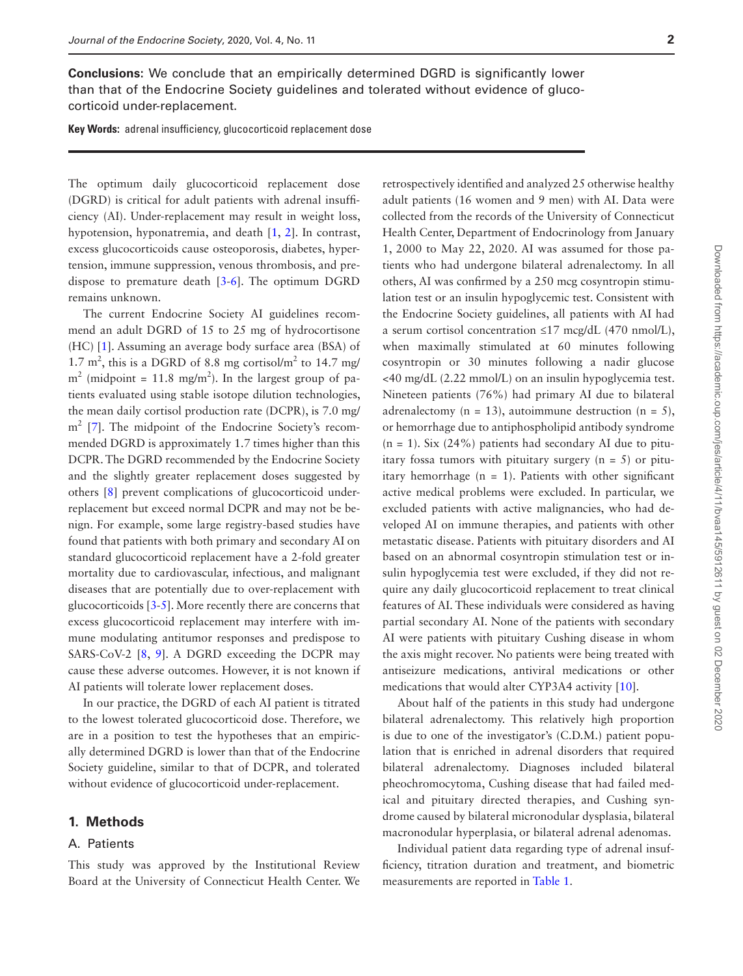**Conclusions:** We conclude that an empirically determined DGRD is significantly lower than that of the Endocrine Society guidelines and tolerated without evidence of glucocorticoid under-replacement.

**Key Words:** adrenal insufficiency, glucocorticoid replacement dose

The optimum daily glucocorticoid replacement dose (DGRD) is critical for adult patients with adrenal insufficiency (AI). Under-replacement may result in weight loss, hypotension, hyponatremia, and death [[1,](#page-7-0) [2\]](#page-7-1). In contrast, excess glucocorticoids cause osteoporosis, diabetes, hypertension, immune suppression, venous thrombosis, and predispose to premature death [[3-](#page-7-2)[6\]](#page-7-3). The optimum DGRD remains unknown.

The current Endocrine Society AI guidelines recommend an adult DGRD of 15 to 25 mg of hydrocortisone (HC) [\[1](#page-7-0)]. Assuming an average body surface area (BSA) of 1.7 m<sup>2</sup>, this is a DGRD of 8.8 mg cortisol/m<sup>2</sup> to 14.7 mg/  $m<sup>2</sup>$  (midpoint = 11.8 mg/m<sup>2</sup>). In the largest group of patients evaluated using stable isotope dilution technologies, the mean daily cortisol production rate (DCPR), is 7.0 mg/ m<sup>2</sup> [\[7](#page-7-4)]. The midpoint of the Endocrine Society's recommended DGRD is approximately 1.7 times higher than this DCPR. The DGRD recommended by the Endocrine Society and the slightly greater replacement doses suggested by others [\[8](#page-7-5)] prevent complications of glucocorticoid underreplacement but exceed normal DCPR and may not be benign. For example, some large registry-based studies have found that patients with both primary and secondary AI on standard glucocorticoid replacement have a 2-fold greater mortality due to cardiovascular, infectious, and malignant diseases that are potentially due to over-replacement with glucocorticoids [\[3-](#page-7-2)[5\]](#page-7-6). More recently there are concerns that excess glucocorticoid replacement may interfere with immune modulating antitumor responses and predispose to SARS-CoV-2 [[8](#page-7-5), [9\]](#page-7-7). A DGRD exceeding the DCPR may cause these adverse outcomes. However, it is not known if AI patients will tolerate lower replacement doses.

In our practice, the DGRD of each AI patient is titrated to the lowest tolerated glucocorticoid dose. Therefore, we are in a position to test the hypotheses that an empirically determined DGRD is lower than that of the Endocrine Society guideline, similar to that of DCPR, and tolerated without evidence of glucocorticoid under-replacement.

#### **1. Methods**

#### A. Patients

This study was approved by the Institutional Review Board at the University of Connecticut Health Center. We

retrospectively identified and analyzed 25 otherwise healthy adult patients (16 women and 9 men) with AI. Data were collected from the records of the University of Connecticut Health Center, Department of Endocrinology from January 1, 2000 to May 22, 2020. AI was assumed for those patients who had undergone bilateral adrenalectomy. In all others, AI was confirmed by a 250 mcg cosyntropin stimulation test or an insulin hypoglycemic test. Consistent with the Endocrine Society guidelines, all patients with AI had a serum cortisol concentration ≤17 mcg/dL (470 nmol/L), when maximally stimulated at 60 minutes following cosyntropin or 30 minutes following a nadir glucose <40 mg/dL (2.22 mmol/L) on an insulin hypoglycemia test. Nineteen patients (76%) had primary AI due to bilateral adrenalectomy ( $n = 13$ ), autoimmune destruction ( $n = 5$ ), or hemorrhage due to antiphospholipid antibody syndrome  $(n = 1)$ . Six (24%) patients had secondary AI due to pituitary fossa tumors with pituitary surgery  $(n = 5)$  or pituitary hemorrhage  $(n = 1)$ . Patients with other significant active medical problems were excluded. In particular, we excluded patients with active malignancies, who had developed AI on immune therapies, and patients with other metastatic disease. Patients with pituitary disorders and AI based on an abnormal cosyntropin stimulation test or insulin hypoglycemia test were excluded, if they did not require any daily glucocorticoid replacement to treat clinical features of AI. These individuals were considered as having partial secondary AI. None of the patients with secondary AI were patients with pituitary Cushing disease in whom the axis might recover. No patients were being treated with antiseizure medications, antiviral medications or other medications that would alter CYP3A4 activity [[10\]](#page-7-8).

About half of the patients in this study had undergone bilateral adrenalectomy. This relatively high proportion is due to one of the investigator's (C.D.M.) patient population that is enriched in adrenal disorders that required bilateral adrenalectomy. Diagnoses included bilateral pheochromocytoma, Cushing disease that had failed medical and pituitary directed therapies, and Cushing syndrome caused by bilateral micronodular dysplasia, bilateral macronodular hyperplasia, or bilateral adrenal adenomas.

Individual patient data regarding type of adrenal insufficiency, titration duration and treatment, and biometric measurements are reported in [Table 1.](#page-2-0)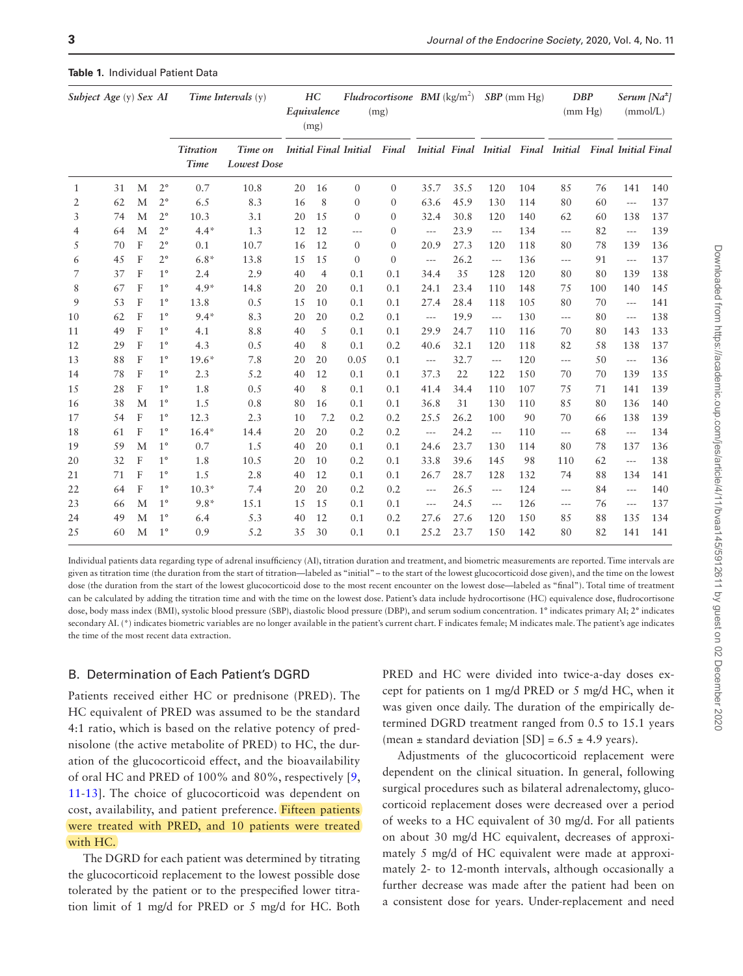| Subject Age (y) Sex AI |    |   |             | Time Intervals $(y)$     |                                                    | HC<br>Equivalence<br>(mg) |                | $Fludrocortisone$ BMI $(kg/m2)$<br>(mg) |                |                                        |      | $SBP$ (mm Hg)        |     | <b>DBP</b><br>(mm Hg)                                   |     | Serum [Na <sup>±</sup> ]<br>(mmol/L)   |     |
|------------------------|----|---|-------------|--------------------------|----------------------------------------------------|---------------------------|----------------|-----------------------------------------|----------------|----------------------------------------|------|----------------------|-----|---------------------------------------------------------|-----|----------------------------------------|-----|
|                        |    |   |             | <b>Titration</b><br>Time | Time on Initial Final Initial Final<br>Lowest Dose |                           |                |                                         |                |                                        |      |                      |     | Initial Final Initial Final Initial Final Initial Final |     |                                        |     |
| 1                      | 31 | M | $2^{\circ}$ | 0.7                      | 10.8                                               | 20                        | 16             | $\mathbf{0}$                            | $\overline{0}$ | 35.7                                   | 35.5 | 120                  | 104 | 85                                                      | 76  | 141                                    | 140 |
| 2                      | 62 | M | $2^{\circ}$ | 6.5                      | 8.3                                                | 16                        | 8              | $\mathbf{0}$                            | $\mathbf{0}$   | 63.6                                   | 45.9 | 130                  | 114 | 80                                                      | 60  | $\cdots$                               | 137 |
| 3                      | 74 | M | $2^{\circ}$ | 10.3                     | 3.1                                                | 20                        | 15             | $\Omega$                                | $\mathbf{0}$   | 32.4                                   | 30.8 | 120                  | 140 | 62                                                      | 60  | 138                                    | 137 |
| 4                      | 64 | M | $2^{\circ}$ | $4.4*$                   | 1.3                                                | 12                        | 12             | $---$                                   | $\mathbf{0}$   | $\cdots$                               | 23.9 | $\scriptstyle\cdots$ | 134 | $---$                                                   | 82  | $\hspace{0.05cm} \ldots$               | 139 |
| 5                      | 70 | F | $2^{\circ}$ | 0.1                      | 10.7                                               | 16                        | 12             | $\overline{0}$                          | $\mathbf{0}$   | 20.9                                   | 27.3 | 120                  | 118 | 80                                                      | 78  | 139                                    | 136 |
| 6                      | 45 | F | $2^{\circ}$ | $6.8*$                   | 13.8                                               | 15                        | 15             | $\Omega$                                | $\theta$       | $---$                                  | 26.2 | $---$                | 136 | $---$                                                   | 91  | $---$                                  | 137 |
| 7                      | 37 | F | $1^{\circ}$ | 2.4                      | 2.9                                                | 40                        | $\overline{4}$ | 0.1                                     | 0.1            | 34.4                                   | 35   | 128                  | 120 | 80                                                      | 80  | 139                                    | 138 |
| 8                      | 67 | F | $1^{\circ}$ | $4.9*$                   | 14.8                                               | 20                        | 20             | 0.1                                     | 0.1            | 24.1                                   | 23.4 | 110                  | 148 | 75                                                      | 100 | 140                                    | 145 |
| 9                      | 53 | F | $1^{\circ}$ | 13.8                     | 0.5                                                | 15                        | 10             | 0.1                                     | 0.1            | 27.4                                   | 28.4 | 118                  | 105 | 80                                                      | 70  | $\cdots$                               | 141 |
| 10                     | 62 | F | $1^{\circ}$ | $9.4*$                   | 8.3                                                | 20                        | 20             | 0.2                                     | 0.1            | $\scriptstyle\cdots\scriptstyle\cdots$ | 19.9 | $\cdots$             | 130 | $---$                                                   | 80  | $---$                                  | 138 |
| 11                     | 49 | F | $1^{\circ}$ | 4.1                      | 8.8                                                | 40                        | 5              | 0.1                                     | 0.1            | 29.9                                   | 24.7 | 110                  | 116 | 70                                                      | 80  | 143                                    | 133 |
| 12                     | 29 | F | $1^{\circ}$ | 4.3                      | 0.5                                                | 40                        | 8              | 0.1                                     | 0.2            | 40.6                                   | 32.1 | 120                  | 118 | 82                                                      | 58  | 138                                    | 137 |
| 13                     | 88 | F | $1^{\circ}$ | $19.6*$                  | 7.8                                                | 20                        | 20             | 0.05                                    | 0.1            | $\cdots$                               | 32.7 | $\cdots$             | 120 | $\cdots$                                                | 50  | $\scriptstyle\cdots$ .                 | 136 |
| 14                     | 78 | F | $1^{\circ}$ | 2.3                      | 5.2                                                | 40                        | 12             | 0.1                                     | 0.1            | 37.3                                   | 22   | 122                  | 150 | 70                                                      | 70  | 139                                    | 135 |
| 15                     | 28 | F | $1^{\circ}$ | 1.8                      | 0.5                                                | 40                        | 8              | 0.1                                     | 0.1            | 41.4                                   | 34.4 | 110                  | 107 | 75                                                      | 71  | 141                                    | 139 |
| 16                     | 38 | M | $1^{\circ}$ | 1.5                      | 0.8                                                | 80                        | 16             | 0.1                                     | 0.1            | 36.8                                   | 31   | 130                  | 110 | 85                                                      | 80  | 136                                    | 140 |
| 17                     | 54 | F | $1^{\circ}$ | 12.3                     | 2.3                                                | 10                        | 7.2            | 0.2                                     | 0.2            | 25.5                                   | 26.2 | 100                  | 90  | 70                                                      | 66  | 138                                    | 139 |
| 18                     | 61 | F | $1^{\circ}$ | $16.4*$                  | 14.4                                               | 20                        | 20             | 0.2                                     | 0.2            | $\scriptstyle\cdots\scriptstyle\cdots$ | 24.2 | $\cdots$             | 110 | $\cdots$                                                | 68  | $\cdots$                               | 134 |
| 19                     | 59 | M | $1^{\circ}$ | 0.7                      | 1.5                                                | 40                        | 20             | 0.1                                     | 0.1            | 24.6                                   | 23.7 | 130                  | 114 | 80                                                      | 78  | 137                                    | 136 |
| 20                     | 32 | F | $1^{\circ}$ | 1.8                      | 10.5                                               | 20                        | 10             | 0.2                                     | 0.1            | 33.8                                   | 39.6 | 145                  | 98  | 110                                                     | 62  | $\cdots$                               | 138 |
| 21                     | 71 | F | $1^{\circ}$ | 1.5                      | 2.8                                                | 40                        | 12             | 0.1                                     | 0.1            | 26.7                                   | 28.7 | 128                  | 132 | 74                                                      | 88  | 134                                    | 141 |
| 22                     | 64 | F | $1^{\circ}$ | $10.3*$                  | 7.4                                                | 20                        | 20             | 0.2                                     | 0.2            | $\cdots$                               | 26.5 | $---$                | 124 | $\cdots$                                                | 84  | $\qquad \qquad - -$                    | 140 |
| 23                     | 66 | M | $1^{\circ}$ | $9.8*$                   | 15.1                                               | 15                        | 15             | 0.1                                     | 0.1            | $\qquad \qquad - -$                    | 24.5 | $-\, -\, -$          | 126 | $\cdots$                                                | 76  | $\scriptstyle\cdots\scriptstyle\cdots$ | 137 |
| 24                     | 49 | M | $1^{\circ}$ | 6.4                      | 5.3                                                | 40                        | 12             | 0.1                                     | 0.2            | 27.6                                   | 27.6 | 120                  | 150 | 85                                                      | 88  | 135                                    | 134 |
| 25                     | 60 | M | $1^{\circ}$ | 0.9                      | 5.2                                                | 35                        | 30             | 0.1                                     | 0.1            | 25.2                                   | 23.7 | 150                  | 142 | 80                                                      | 82  | 141                                    | 141 |

#### <span id="page-2-0"></span>**Table 1.** Individual Patient Data

Individual patients data regarding type of adrenal insufficiency (AI), titration duration and treatment, and biometric measurements are reported. Time intervals are given as titration time (the duration from the start of titration—labeled as "initial" – to the start of the lowest glucocorticoid dose given), and the time on the lowest dose (the duration from the start of the lowest glucocorticoid dose to the most recent encounter on the lowest dose—labeled as "final"). Total time of treatment can be calculated by adding the titration time and with the time on the lowest dose. Patient's data include hydrocortisone (HC) equivalence dose, fludrocortisone dose, body mass index (BMI), systolic blood pressure (SBP), diastolic blood pressure (DBP), and serum sodium concentration. 1° indicates primary AI; 2° indicates secondary AI. (\*) indicates biometric variables are no longer available in the patient's current chart. F indicates female; M indicates male. The patient's age indicates the time of the most recent data extraction.

#### B. Determination of Each Patient's DGRD

Patients received either HC or prednisone (PRED). The HC equivalent of PRED was assumed to be the standard 4:1 ratio, which is based on the relative potency of prednisolone (the active metabolite of PRED) to HC, the duration of the glucocorticoid effect, and the bioavailability of oral HC and PRED of 100% and 80%, respectively [\[9](#page-7-7), [11](#page-7-9)[-13\]](#page-7-10). The choice of glucocorticoid was dependent on cost, availability, and patient preference. Fifteen patients were treated with PRED, and 10 patients were treated with HC.

The DGRD for each patient was determined by titrating the glucocorticoid replacement to the lowest possible dose tolerated by the patient or to the prespecified lower titration limit of 1 mg/d for PRED or 5 mg/d for HC. Both

PRED and HC were divided into twice-a-day doses except for patients on 1 mg/d PRED or 5 mg/d HC, when it was given once daily. The duration of the empirically determined DGRD treatment ranged from 0.5 to 15.1 years (mean  $\pm$  standard deviation [SD] = 6.5  $\pm$  4.9 years).

Adjustments of the glucocorticoid replacement were dependent on the clinical situation. In general, following surgical procedures such as bilateral adrenalectomy, glucocorticoid replacement doses were decreased over a period of weeks to a HC equivalent of 30 mg/d. For all patients on about 30 mg/d HC equivalent, decreases of approximately 5 mg/d of HC equivalent were made at approximately 2- to 12-month intervals, although occasionally a further decrease was made after the patient had been on a consistent dose for years. Under-replacement and need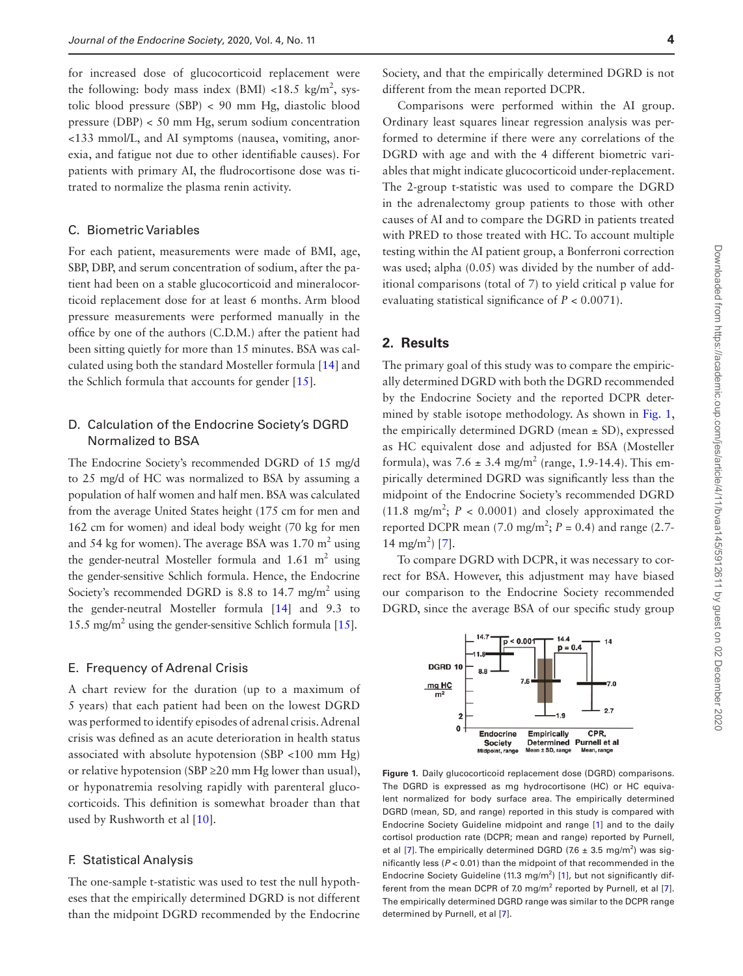for increased dose of glucocorticoid replacement were the following: body mass index (BMI) <18.5  $\text{kg/m}^2$ , systolic blood pressure (SBP) < 90 mm Hg, diastolic blood pressure (DBP) < 50 mm Hg, serum sodium concentration <133 mmol/L, and AI symptoms (nausea, vomiting, anorexia, and fatigue not due to other identifiable causes). For patients with primary AI, the fludrocortisone dose was titrated to normalize the plasma renin activity.

## C. Biometric Variables

For each patient, measurements were made of BMI, age, SBP, DBP, and serum concentration of sodium, after the patient had been on a stable glucocorticoid and mineralocorticoid replacement dose for at least 6 months. Arm blood pressure measurements were performed manually in the office by one of the authors (C.D.M.) after the patient had been sitting quietly for more than 15 minutes. BSA was calculated using both the standard Mosteller formula [\[14\]](#page-7-11) and the Schlich formula that accounts for gender [[15\]](#page-7-12).

## D. Calculation of the Endocrine Society's DGRD Normalized to BSA

The Endocrine Society's recommended DGRD of 15 mg/d to 25 mg/d of HC was normalized to BSA by assuming a population of half women and half men. BSA was calculated from the average United States height (175 cm for men and 162 cm for women) and ideal body weight (70 kg for men and 54 kg for women). The average BSA was  $1.70 \text{ m}^2$  using the gender-neutral Mosteller formula and  $1.61 \text{ m}^2$  using the gender-sensitive Schlich formula. Hence, the Endocrine Society's recommended DGRD is 8.8 to  $14.7 \text{ mg/m}^2$  using the gender-neutral Mosteller formula [[14\]](#page-7-11) and 9.3 to 15.5 mg/m<sup>2</sup> using the gender-sensitive Schlich formula [[15\]](#page-7-12).

#### E. Frequency of Adrenal Crisis

A chart review for the duration (up to a maximum of 5 years) that each patient had been on the lowest DGRD was performed to identify episodes of adrenal crisis. Adrenal crisis was defined as an acute deterioration in health status associated with absolute hypotension (SBP <100 mm Hg) or relative hypotension (SBP  $\geq$  20 mm Hg lower than usual), or hyponatremia resolving rapidly with parenteral glucocorticoids. This definition is somewhat broader than that used by Rushworth et al [\[10\]](#page-7-8).

#### F. Statistical Analysis

The one-sample t-statistic was used to test the null hypotheses that the empirically determined DGRD is not different than the midpoint DGRD recommended by the Endocrine

Society, and that the empirically determined DGRD is not different from the mean reported DCPR.

Comparisons were performed within the AI group. Ordinary least squares linear regression analysis was performed to determine if there were any correlations of the DGRD with age and with the 4 different biometric variables that might indicate glucocorticoid under-replacement. The 2-group t-statistic was used to compare the DGRD in the adrenalectomy group patients to those with other causes of AI and to compare the DGRD in patients treated with PRED to those treated with HC. To account multiple testing within the AI patient group, a Bonferroni correction was used; alpha (0.05) was divided by the number of additional comparisons (total of 7) to yield critical p value for evaluating statistical significance of  $P < 0.0071$ ).

## **2. Results**

The primary goal of this study was to compare the empirically determined DGRD with both the DGRD recommended by the Endocrine Society and the reported DCPR determined by stable isotope methodology. As shown in [Fig. 1](#page-3-0), the empirically determined DGRD (mean  $\pm$  SD), expressed as HC equivalent dose and adjusted for BSA (Mosteller formula), was  $7.6 \pm 3.4$  mg/m<sup>2</sup> (range, 1.9-14.4). This empirically determined DGRD was significantly less than the midpoint of the Endocrine Society's recommended DGRD  $(11.8 \text{ mg/m}^2; P < 0.0001)$  and closely approximated the reported DCPR mean (7.0 mg/m<sup>2</sup>;  $P = 0.4$ ) and range (2.7-14 mg/m<sup>2</sup>) [\[7](#page-7-4)].

To compare DGRD with DCPR, it was necessary to correct for BSA. However, this adjustment may have biased our comparison to the Endocrine Society recommended DGRD, since the average BSA of our specific study group



<span id="page-3-0"></span>**Figure 1.** Daily glucocorticoid replacement dose (DGRD) comparisons. The DGRD is expressed as mg hydrocortisone (HC) or HC equivalent normalized for body surface area. The empirically determined DGRD (mean, SD, and range) reported in this study is compared with Endocrine Society Guideline midpoint and range [\[1](#page-7-0)] and to the daily cortisol production rate (DCPR; mean and range) reported by Purnell, et al [\[7](#page-7-4)]. The empirically determined DGRD (7.6  $\pm$  3.5 mg/m<sup>2</sup>) was significantly less (*P* < 0.01) than the midpoint of that recommended in the Endocrine Society Guideline (11.3 mg/m<sup>2</sup>) [[1\]](#page-7-0), but not significantly dif-ferent from the mean DCPR of 7.0 mg/m<sup>2</sup> reported by Purnell, et al [\[7](#page-7-4)]. The empirically determined DGRD range was similar to the DCPR range determined by Purnell, et al [\[7](#page-7-4)].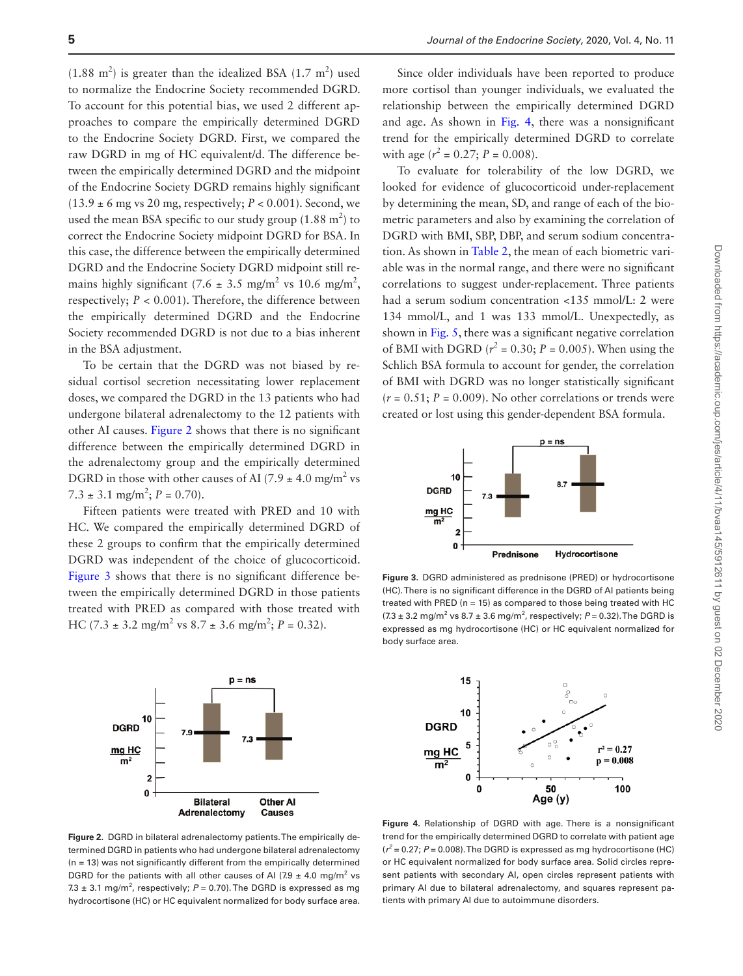$(1.88 \text{ m}^2)$  is greater than the idealized BSA  $(1.7 \text{ m}^2)$  used to normalize the Endocrine Society recommended DGRD. To account for this potential bias, we used 2 different approaches to compare the empirically determined DGRD to the Endocrine Society DGRD. First, we compared the raw DGRD in mg of HC equivalent/d. The difference between the empirically determined DGRD and the midpoint of the Endocrine Society DGRD remains highly significant  $(13.9 \pm 6 \text{ mg vs } 20 \text{ mg}, \text{respectively}; P < 0.001)$ . Second, we used the mean BSA specific to our study group  $(1.88 \text{ m}^2)$  to correct the Endocrine Society midpoint DGRD for BSA. In this case, the difference between the empirically determined DGRD and the Endocrine Society DGRD midpoint still remains highly significant (7.6  $\pm$  3.5 mg/m<sup>2</sup> vs 10.6 mg/m<sup>2</sup>, respectively; *P* < 0.001). Therefore, the difference between the empirically determined DGRD and the Endocrine Society recommended DGRD is not due to a bias inherent in the BSA adjustment.

To be certain that the DGRD was not biased by residual cortisol secretion necessitating lower replacement doses, we compared the DGRD in the 13 patients who had undergone bilateral adrenalectomy to the 12 patients with other AI causes. [Figure 2](#page-4-0) shows that there is no significant difference between the empirically determined DGRD in the adrenalectomy group and the empirically determined DGRD in those with other causes of AI (7.9  $\pm$  4.0 mg/m<sup>2</sup> vs  $7.3 \pm 3.1$  mg/m<sup>2</sup>;  $P = 0.70$ ).

Fifteen patients were treated with PRED and 10 with HC. We compared the empirically determined DGRD of these 2 groups to confirm that the empirically determined DGRD was independent of the choice of glucocorticoid. [Figure 3](#page-4-1) shows that there is no significant difference between the empirically determined DGRD in those patients treated with PRED as compared with those treated with HC (7.3  $\pm$  3.2 mg/m<sup>2</sup> vs 8.7  $\pm$  3.6 mg/m<sup>2</sup>; *P* = 0.32).



Since older individuals have been reported to produce more cortisol than younger individuals, we evaluated the relationship between the empirically determined DGRD and age. As shown in [Fig. 4,](#page-4-2) there was a nonsignificant trend for the empirically determined DGRD to correlate with age  $(r^2 = 0.27; P = 0.008)$ .

To evaluate for tolerability of the low DGRD, we looked for evidence of glucocorticoid under-replacement by determining the mean, SD, and range of each of the biometric parameters and also by examining the correlation of DGRD with BMI, SBP, DBP, and serum sodium concentration. As shown in [Table 2](#page-5-0), the mean of each biometric variable was in the normal range, and there were no significant correlations to suggest under-replacement. Three patients had a serum sodium concentration <135 mmol/L: 2 were 134 mmol/L, and 1 was 133 mmol/L. Unexpectedly, as shown in [Fig. 5](#page-5-1), there was a significant negative correlation of BMI with DGRD ( $r^2$  = 0.30;  $P = 0.005$ ). When using the Schlich BSA formula to account for gender, the correlation of BMI with DGRD was no longer statistically significant  $(r = 0.51; P = 0.009)$ . No other correlations or trends were created or lost using this gender-dependent BSA formula.



<span id="page-4-1"></span>**Figure 3.** DGRD administered as prednisone (PRED) or hydrocortisone (HC). There is no significant difference in the DGRD of AI patients being treated with PRED ( $n = 15$ ) as compared to those being treated with HC  $(7.3 \pm 3.2 \text{ mg/m}^2 \text{ vs } 8.7 \pm 3.6 \text{ mg/m}^2 \text{, respectively}; P = 0.32)$ . The DGRD is expressed as mg hydrocortisone (HC) or HC equivalent normalized for body surface area.



<span id="page-4-0"></span>**Figure 2.** DGRD in bilateral adrenalectomy patients. The empirically determined DGRD in patients who had undergone bilateral adrenalectomy  $(n = 13)$  was not significantly different from the empirically determined DGRD for the patients with all other causes of AI (7.9  $\pm$  4.0 mg/m<sup>2</sup> vs 7.3  $\pm$  3.1 mg/m<sup>2</sup>, respectively;  $P = 0.70$ ). The DGRD is expressed as mg hydrocortisone (HC) or HC equivalent normalized for body surface area.

<span id="page-4-2"></span>**Figure 4.** Relationship of DGRD with age. There is a nonsignificant trend for the empirically determined DGRD to correlate with patient age  $(r^2 = 0.27; P = 0.008)$ . The DGRD is expressed as mg hydrocortisone (HC) or HC equivalent normalized for body surface area. Solid circles represent patients with secondary AI, open circles represent patients with primary AI due to bilateral adrenalectomy, and squares represent patients with primary AI due to autoimmune disorders.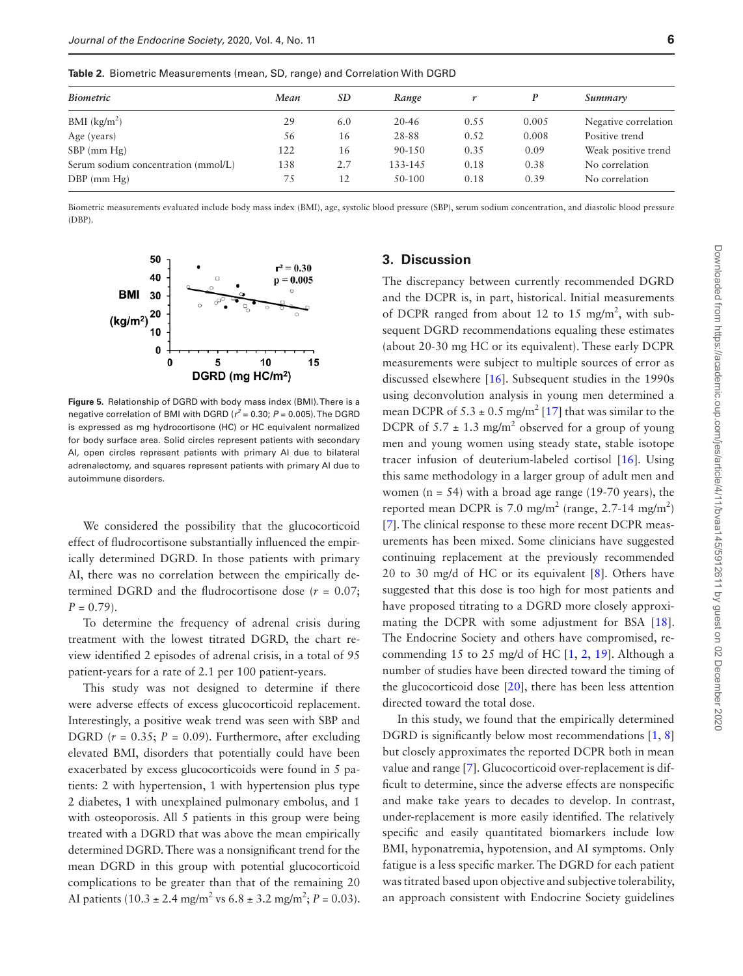<span id="page-5-0"></span>**Table 2.** Biometric Measurements (mean, SD, range) and Correlation With DGRD

| <b>Biometric</b>                    | Mean | SD  | Range      |      |       | Summary              |  |
|-------------------------------------|------|-----|------------|------|-------|----------------------|--|
| $BMI$ (kg/m <sup>2</sup> )          | 29   | 6.0 | $20 - 46$  | 0.55 | 0.005 | Negative correlation |  |
| Age (years)                         | 56   | 16  | 28-88      | 0.52 | 0.008 | Positive trend       |  |
| $SBP$ (mm $Hg$ )                    | 122  | 16  | $90 - 150$ | 0.35 | 0.09  | Weak positive trend  |  |
| Serum sodium concentration (mmol/L) | 138  | 2.7 | 133-145    | 0.18 | 0.38  | No correlation       |  |
| $DBP$ (mm $Hg$ )                    | 75   | 12  | 50-100     | 0.18 | 0.39  | No correlation       |  |

Biometric measurements evaluated include body mass index (BMI), age, systolic blood pressure (SBP), serum sodium concentration, and diastolic blood pressure (DBP).



<span id="page-5-1"></span>**Figure 5.** Relationship of DGRD with body mass index (BMI). There is a negative correlation of BMI with DGRD ( $r^2$  = 0.30;  $P$  = 0.005). The DGRD is expressed as mg hydrocortisone (HC) or HC equivalent normalized for body surface area. Solid circles represent patients with secondary AI, open circles represent patients with primary AI due to bilateral adrenalectomy, and squares represent patients with primary AI due to autoimmune disorders.

We considered the possibility that the glucocorticoid effect of fludrocortisone substantially influenced the empirically determined DGRD. In those patients with primary AI, there was no correlation between the empirically determined DGRD and the fludrocortisone dose  $(r = 0.07)$ ;  $P = 0.79$ .

To determine the frequency of adrenal crisis during treatment with the lowest titrated DGRD, the chart review identified 2 episodes of adrenal crisis, in a total of 95 patient-years for a rate of 2.1 per 100 patient-years.

This study was not designed to determine if there were adverse effects of excess glucocorticoid replacement. Interestingly, a positive weak trend was seen with SBP and DGRD  $(r = 0.35; P = 0.09)$ . Furthermore, after excluding elevated BMI, disorders that potentially could have been exacerbated by excess glucocorticoids were found in 5 patients: 2 with hypertension, 1 with hypertension plus type 2 diabetes, 1 with unexplained pulmonary embolus, and 1 with osteoporosis. All 5 patients in this group were being treated with a DGRD that was above the mean empirically determined DGRD. There was a nonsignificant trend for the mean DGRD in this group with potential glucocorticoid complications to be greater than that of the remaining 20 AI patients  $(10.3 \pm 2.4 \text{ mg/m}^2 \text{ vs } 6.8 \pm 3.2 \text{ mg/m}^2; P = 0.03)$ .

#### **3. Discussion**

The discrepancy between currently recommended DGRD and the DCPR is, in part, historical. Initial measurements of DCPR ranged from about 12 to 15 mg/m<sup>2</sup>, with subsequent DGRD recommendations equaling these estimates (about 20-30 mg HC or its equivalent). These early DCPR measurements were subject to multiple sources of error as discussed elsewhere [[16](#page-7-13)]. Subsequent studies in the 1990s using deconvolution analysis in young men determined a mean DCPR of  $5.3 \pm 0.5$  mg/m<sup>2</sup> [\[17\]](#page-7-14) that was similar to the DCPR of  $5.7 \pm 1.3$  mg/m<sup>2</sup> observed for a group of young men and young women using steady state, stable isotope tracer infusion of deuterium-labeled cortisol [[16](#page-7-13)]. Using this same methodology in a larger group of adult men and women ( $n = 54$ ) with a broad age range (19-70 years), the reported mean DCPR is 7.0 mg/m<sup>2</sup> (range, 2.7-14 mg/m<sup>2</sup>) [[7\]](#page-7-4). The clinical response to these more recent DCPR measurements has been mixed. Some clinicians have suggested continuing replacement at the previously recommended 20 to 30 mg/d of HC or its equivalent [\[8\]](#page-7-5). Others have suggested that this dose is too high for most patients and have proposed titrating to a DGRD more closely approximating the DCPR with some adjustment for BSA [\[18](#page-7-15)]. The Endocrine Society and others have compromised, re-commending 15 to [2](#page-7-1)5 mg/d of HC  $[1, 2, 19]$  $[1, 2, 19]$  $[1, 2, 19]$ . Although a number of studies have been directed toward the timing of the glucocorticoid dose [[20](#page-7-17)], there has been less attention directed toward the total dose.

In this study, we found that the empirically determined DGRD is significantly below most recommendations [\[1,](#page-7-0) [8\]](#page-7-5) but closely approximates the reported DCPR both in mean value and range [[7](#page-7-4)]. Glucocorticoid over-replacement is difficult to determine, since the adverse effects are nonspecific and make take years to decades to develop. In contrast, under-replacement is more easily identified. The relatively specific and easily quantitated biomarkers include low BMI, hyponatremia, hypotension, and AI symptoms. Only fatigue is a less specific marker. The DGRD for each patient was titrated based upon objective and subjective tolerability, an approach consistent with Endocrine Society guidelines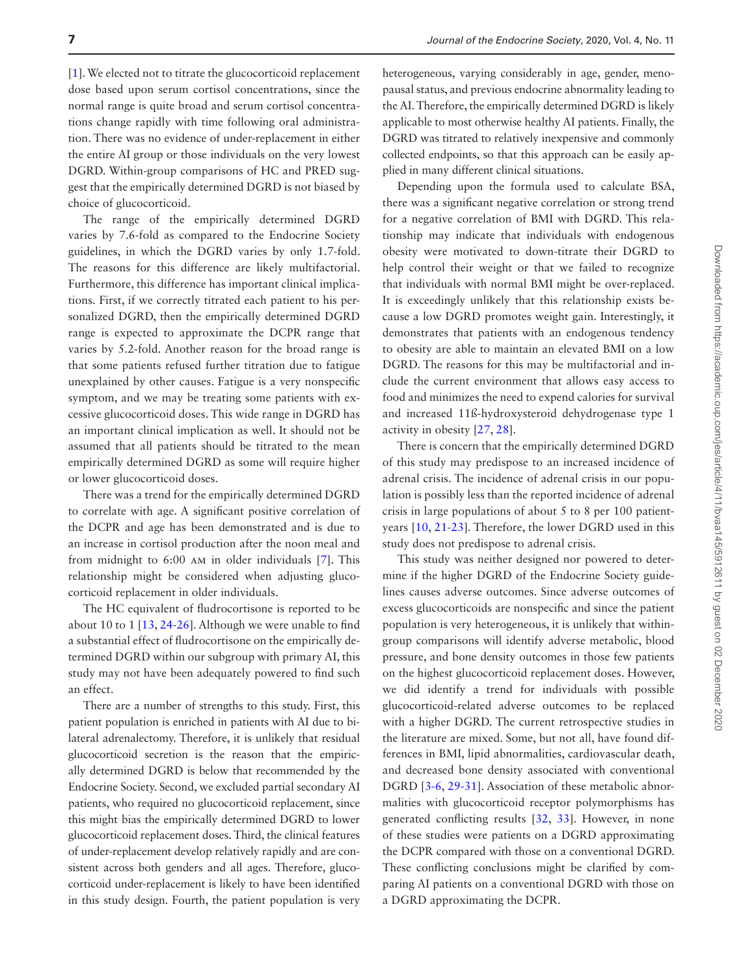[[1\]](#page-7-0). We elected not to titrate the glucocorticoid replacement dose based upon serum cortisol concentrations, since the normal range is quite broad and serum cortisol concentrations change rapidly with time following oral administration. There was no evidence of under-replacement in either the entire AI group or those individuals on the very lowest DGRD. Within-group comparisons of HC and PRED suggest that the empirically determined DGRD is not biased by choice of glucocorticoid.

The range of the empirically determined DGRD varies by 7.6-fold as compared to the Endocrine Society guidelines, in which the DGRD varies by only 1.7-fold. The reasons for this difference are likely multifactorial. Furthermore, this difference has important clinical implications. First, if we correctly titrated each patient to his personalized DGRD, then the empirically determined DGRD range is expected to approximate the DCPR range that varies by 5.2-fold. Another reason for the broad range is that some patients refused further titration due to fatigue unexplained by other causes. Fatigue is a very nonspecific symptom, and we may be treating some patients with excessive glucocorticoid doses. This wide range in DGRD has an important clinical implication as well. It should not be assumed that all patients should be titrated to the mean empirically determined DGRD as some will require higher or lower glucocorticoid doses.

There was a trend for the empirically determined DGRD to correlate with age. A significant positive correlation of the DCPR and age has been demonstrated and is due to an increase in cortisol production after the noon meal and from midnight to 6:00 am in older individuals [[7](#page-7-4)]. This relationship might be considered when adjusting glucocorticoid replacement in older individuals.

The HC equivalent of fludrocortisone is reported to be about 10 to 1 [[13,](#page-7-10) [24-](#page-8-0)[26\]](#page-8-1). Although we were unable to find a substantial effect of fludrocortisone on the empirically determined DGRD within our subgroup with primary AI, this study may not have been adequately powered to find such an effect.

There are a number of strengths to this study. First, this patient population is enriched in patients with AI due to bilateral adrenalectomy. Therefore, it is unlikely that residual glucocorticoid secretion is the reason that the empirically determined DGRD is below that recommended by the Endocrine Society. Second, we excluded partial secondary AI patients, who required no glucocorticoid replacement, since this might bias the empirically determined DGRD to lower glucocorticoid replacement doses. Third, the clinical features of under-replacement develop relatively rapidly and are consistent across both genders and all ages. Therefore, glucocorticoid under-replacement is likely to have been identified in this study design. Fourth, the patient population is very

heterogeneous, varying considerably in age, gender, menopausal status, and previous endocrine abnormality leading to the AI. Therefore, the empirically determined DGRD is likely applicable to most otherwise healthy AI patients. Finally, the DGRD was titrated to relatively inexpensive and commonly collected endpoints, so that this approach can be easily applied in many different clinical situations.

Depending upon the formula used to calculate BSA, there was a significant negative correlation or strong trend for a negative correlation of BMI with DGRD. This relationship may indicate that individuals with endogenous obesity were motivated to down-titrate their DGRD to help control their weight or that we failed to recognize that individuals with normal BMI might be over-replaced. It is exceedingly unlikely that this relationship exists because a low DGRD promotes weight gain. Interestingly, it demonstrates that patients with an endogenous tendency to obesity are able to maintain an elevated BMI on a low DGRD. The reasons for this may be multifactorial and include the current environment that allows easy access to food and minimizes the need to expend calories for survival and increased 11ß-hydroxysteroid dehydrogenase type 1 activity in obesity [[27,](#page-8-2) [28](#page-8-3)].

There is concern that the empirically determined DGRD of this study may predispose to an increased incidence of adrenal crisis. The incidence of adrenal crisis in our population is possibly less than the reported incidence of adrenal crisis in large populations of about 5 to 8 per 100 patientyears [\[10](#page-7-8), [21-](#page-7-18)[23\]](#page-8-4). Therefore, the lower DGRD used in this study does not predispose to adrenal crisis.

This study was neither designed nor powered to determine if the higher DGRD of the Endocrine Society guidelines causes adverse outcomes. Since adverse outcomes of excess glucocorticoids are nonspecific and since the patient population is very heterogeneous, it is unlikely that withingroup comparisons will identify adverse metabolic, blood pressure, and bone density outcomes in those few patients on the highest glucocorticoid replacement doses. However, we did identify a trend for individuals with possible glucocorticoid-related adverse outcomes to be replaced with a higher DGRD. The current retrospective studies in the literature are mixed. Some, but not all, have found differences in BMI, lipid abnormalities, cardiovascular death, and decreased bone density associated with conventional DGRD [[3-](#page-7-2)[6](#page-7-3), [29](#page-8-5)[-31\]](#page-8-6). Association of these metabolic abnormalities with glucocorticoid receptor polymorphisms has generated conflicting results [\[32,](#page-8-7) [33\]](#page-8-8). However, in none of these studies were patients on a DGRD approximating the DCPR compared with those on a conventional DGRD. These conflicting conclusions might be clarified by comparing AI patients on a conventional DGRD with those on a DGRD approximating the DCPR.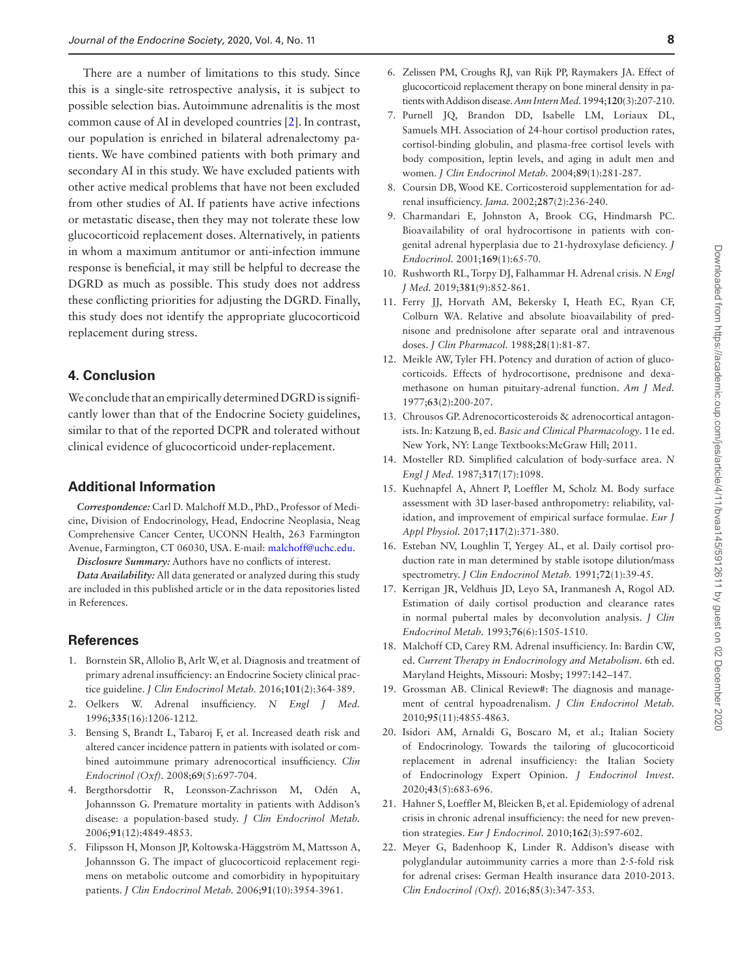There are a number of limitations to this study. Since this is a single-site retrospective analysis, it is subject to possible selection bias. Autoimmune adrenalitis is the most common cause of AI in developed countries [\[2](#page-7-1)]. In contrast, our population is enriched in bilateral adrenalectomy patients. We have combined patients with both primary and secondary AI in this study. We have excluded patients with other active medical problems that have not been excluded from other studies of AI. If patients have active infections or metastatic disease, then they may not tolerate these low glucocorticoid replacement doses. Alternatively, in patients in whom a maximum antitumor or anti-infection immune response is beneficial, it may still be helpful to decrease the DGRD as much as possible. This study does not address these conflicting priorities for adjusting the DGRD. Finally, this study does not identify the appropriate glucocorticoid replacement during stress.

## **4. Conclusion**

We conclude that an empirically determined DGRD is significantly lower than that of the Endocrine Society guidelines, similar to that of the reported DCPR and tolerated without clinical evidence of glucocorticoid under-replacement.

## **Additional Information**

*Correspondence:* Carl D. Malchoff M.D., PhD., Professor of Medicine, Division of Endocrinology, Head, Endocrine Neoplasia, Neag Comprehensive Cancer Center, UCONN Health, 263 Farmington Avenue, Farmington, CT 06030, USA. E-mail: [malchoff@uchc.edu.](mailto:malchoff@uchc.edu?subject=)

*Disclosure Summary:* Authors have no conflicts of interest.

*Data Availability:* All data generated or analyzed during this study are included in this published article or in the data repositories listed in References.

### **References**

- <span id="page-7-0"></span>1. Bornstein SR, Allolio B, Arlt W, et al. Diagnosis and treatment of primary adrenal insufficiency: an Endocrine Society clinical practice guideline. *J Clin Endocrinol Metab.* 2016;**101**(2):364-389.
- <span id="page-7-1"></span>2. Oelkers W. Adrenal insufficiency. *N Engl J Med.* 1996;**335**(16):1206-1212.
- <span id="page-7-2"></span>3. Bensing S, Brandt L, Tabaroj F, et al. Increased death risk and altered cancer incidence pattern in patients with isolated or combined autoimmune primary adrenocortical insufficiency. *Clin Endocrinol (Oxf).* 2008;**69**(5):697-704.
- 4. Bergthorsdottir R, Leonsson-Zachrisson M, Odén A, Johannsson G. Premature mortality in patients with Addison's disease: a population-based study. *J Clin Endocrinol Metab.* 2006;**91**(12):4849-4853.
- <span id="page-7-6"></span>5. Filipsson H, Monson JP, Koltowska-Häggström M, Mattsson A, Johannsson G. The impact of glucocorticoid replacement regimens on metabolic outcome and comorbidity in hypopituitary patients. *J Clin Endocrinol Metab.* 2006;**91**(10):3954-3961.
- <span id="page-7-3"></span>6. Zelissen PM, Croughs RJ, van Rijk PP, Raymakers JA. Effect of glucocorticoid replacement therapy on bone mineral density in patients with Addison disease. *Ann Intern Med.* 1994;**120**(3):207-210.
- <span id="page-7-4"></span>7. Purnell JQ, Brandon DD, Isabelle LM, Loriaux DL, Samuels MH. Association of 24-hour cortisol production rates, cortisol-binding globulin, and plasma-free cortisol levels with body composition, leptin levels, and aging in adult men and women. *J Clin Endocrinol Metab.* 2004;**89**(1):281-287.
- <span id="page-7-5"></span>8. Coursin DB, Wood KE. Corticosteroid supplementation for adrenal insufficiency. *Jama.* 2002;**287**(2):236-240.
- <span id="page-7-7"></span>9. Charmandari E, Johnston A, Brook CG, Hindmarsh PC. Bioavailability of oral hydrocortisone in patients with congenital adrenal hyperplasia due to 21-hydroxylase deficiency. *J Endocrinol.* 2001;**169**(1):65-70.
- <span id="page-7-8"></span>10. Rushworth RL, Torpy DJ, Falhammar H. Adrenal crisis. *N Engl J Med.* 2019;**381**(9):852-861.
- <span id="page-7-9"></span>11. Ferry JJ, Horvath AM, Bekersky I, Heath EC, Ryan CF, Colburn WA. Relative and absolute bioavailability of prednisone and prednisolone after separate oral and intravenous doses. *J Clin Pharmacol.* 1988;**28**(1):81-87.
- 12. Meikle AW, Tyler FH. Potency and duration of action of glucocorticoids. Effects of hydrocortisone, prednisone and dexamethasone on human pituitary-adrenal function. *Am J Med.* 1977;**63**(2):200-207.
- <span id="page-7-10"></span>13. Chrousos GP. Adrenocorticosteroids & adrenocortical antagonists. In: Katzung B, ed. *Basic and Clinical Pharmacology*. 11e ed. New York, NY: Lange Textbooks:McGraw Hill; 2011.
- <span id="page-7-11"></span>14. Mosteller RD. Simplified calculation of body-surface area. *N Engl J Med.* 1987;**317**(17):1098.
- <span id="page-7-12"></span>15. Kuehnapfel A, Ahnert P, Loeffler M, Scholz M. Body surface assessment with 3D laser-based anthropometry: reliability, validation, and improvement of empirical surface formulae. *Eur J Appl Physiol.* 2017;**117**(2):371-380.
- <span id="page-7-13"></span>16. Esteban NV, Loughlin T, Yergey AL, et al. Daily cortisol production rate in man determined by stable isotope dilution/mass spectrometry. *J Clin Endocrinol Metab.* 1991;**72**(1):39-45.
- <span id="page-7-14"></span>17. Kerrigan JR, Veldhuis JD, Leyo SA, Iranmanesh A, Rogol AD. Estimation of daily cortisol production and clearance rates in normal pubertal males by deconvolution analysis. *J Clin Endocrinol Metab.* 1993;**76**(6):1505-1510.
- <span id="page-7-15"></span>18. Malchoff CD, Carey RM. Adrenal insufficiency. In: Bardin CW, ed. *Current Therapy in Endocrinology and Metabolism*. 6th ed. Maryland Heights, Missouri: Mosby; 1997:142–147.
- <span id="page-7-16"></span>19. Grossman AB. Clinical Review#: The diagnosis and management of central hypoadrenalism. *J Clin Endocrinol Metab.* 2010;**95**(11):4855-4863.
- <span id="page-7-17"></span>20. Isidori AM, Arnaldi G, Boscaro M, et al.; Italian Society of Endocrinology. Towards the tailoring of glucocorticoid replacement in adrenal insufficiency: the Italian Society of Endocrinology Expert Opinion. *J Endocrinol Invest.* 2020;**43**(5):683-696.
- <span id="page-7-18"></span>21. Hahner S, Loeffler M, Bleicken B, et al. Epidemiology of adrenal crisis in chronic adrenal insufficiency: the need for new prevention strategies. *Eur J Endocrinol.* 2010;**162**(3):597-602.
- 22. Meyer G, Badenhoop K, Linder R. Addison's disease with polyglandular autoimmunity carries a more than 2·5-fold risk for adrenal crises: German Health insurance data 2010-2013. *Clin Endocrinol (Oxf).* 2016;**85**(3):347-353.